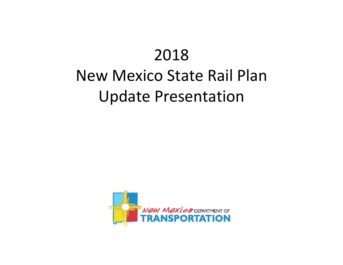# 2018 New Mexico State Rail Plan Update Presentation

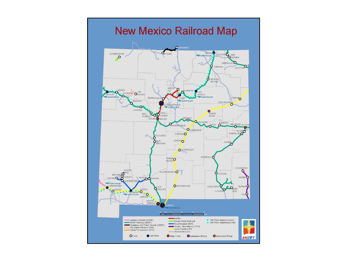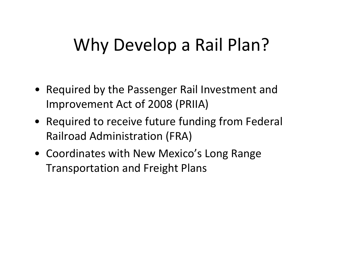# Why Develop <sup>a</sup> Rail Plan?

- Required by the Passenger Rail Investment and Improvement Act of 2008 (PRIIA)
- Required to receive future funding from Federal Railroad Administration (FRA)
- Coordinates with New Mexico's Long Range Transportation and Freight Plans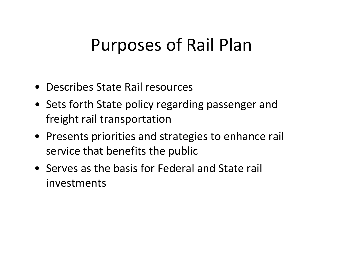### Purposes of Rail Plan

- Describes State Rail resources
- Sets forth State policy regarding passenger and freight rail transportation
- Presents priorities and strategies to enhance rail service that benefits the public
- Serves as the basis for Federal and State rail investments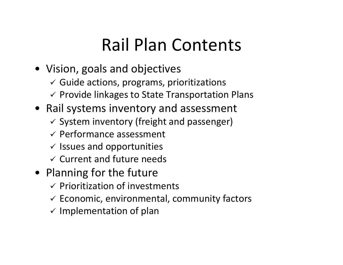# Rail Plan Contents

- Vision, goals and objectives
	- $\checkmark$  Guide actions, programs, prioritizations
	- $\checkmark$  Provide linkages to State Transportation Plans
- Rail systems inventory and assessment
	- $\checkmark$  System inventory (freight and passenger)
	- $\checkmark$  Performance assessment
	- $\checkmark$  Issues and opportunities
	- $\checkmark$  Current and future needs
- Planning for the future
	- $\checkmark$  Prioritization of investments
	- $\checkmark$  Economic, environmental, community factors
	- $\checkmark$  Implementation of plan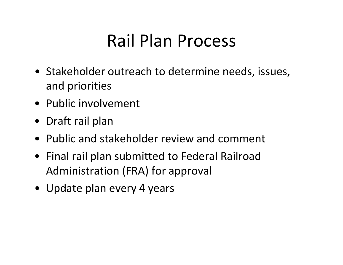## Rail Plan Process

- Stakeholder outreach to determine needs, issues, and priorities
- Public involvement
- Draft rail plan
- Public and stakeholder review and comment
- Final rail plan submitted to Federal Railroad Administration (FRA) for approval
- Update plan every 4 years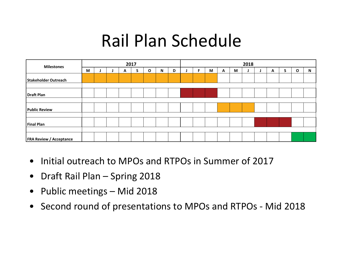## Rail Plan Schedule

| <b>Milestones</b>              | 2017 |  |  |   |  |   |   |   | 2018 |   |   |   |   |  |  |   |   |              |           |
|--------------------------------|------|--|--|---|--|---|---|---|------|---|---|---|---|--|--|---|---|--------------|-----------|
|                                | M    |  |  | A |  | O | N | D |      | F | M | A | M |  |  | A | S | $\mathbf{o}$ | ${\sf N}$ |
| Stakeholder Outreach           |      |  |  |   |  |   |   |   |      |   |   |   |   |  |  |   |   |              |           |
| Draft Plan                     |      |  |  |   |  |   |   |   |      |   |   |   |   |  |  |   |   |              |           |
|                                |      |  |  |   |  |   |   |   |      |   |   |   |   |  |  |   |   |              |           |
| <b>Public Review</b>           |      |  |  |   |  |   |   |   |      |   |   |   |   |  |  |   |   |              |           |
|                                |      |  |  |   |  |   |   |   |      |   |   |   |   |  |  |   |   |              |           |
| Final Plan                     |      |  |  |   |  |   |   |   |      |   |   |   |   |  |  |   |   |              |           |
| <b>FRA Review / Acceptance</b> |      |  |  |   |  |   |   |   |      |   |   |   |   |  |  |   |   |              |           |

- Initial outreach to MPOs and RTPOs in Summer of 2017
- $\bullet$ Draft Rail Plan – Spring 2018
- $\bullet$ Public meetings – Mid 2018
- Second round of presentations to MPOs and RTPOs ‐ Mid 2018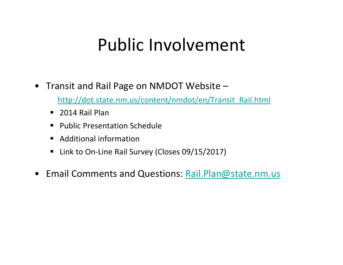### Public Involvement

• Transit and Rail Page on NMDOT Website –

http://dot.state.nm.us/content/nmdot/en/Transit\_Rail.html

- 2014 Rail Plan
- Public Presentation Schedule
- Additional information
- Link to On-Line Rail Survey (Closes 09/15/2017)
- Email Comments and Questions: Rail.Plan@state.nm.us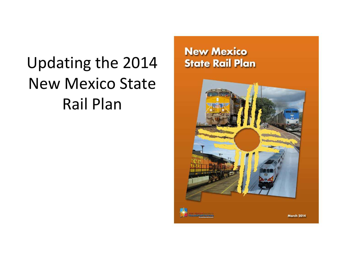# Updating the 2014 New Mexico State Rail Plan

#### **New Mexico State Rail Plan**

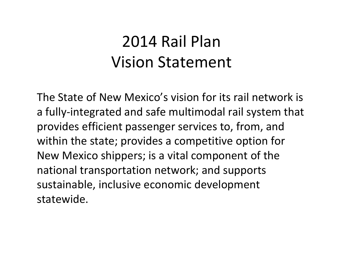#### 2014 Rail PlanVision Statement

The State of New Mexico's vision for its rail network is a fully‐integrated and safe multimodal rail system that provides efficient passenger services to, from, and within the state; provides <sup>a</sup> competitive option for New Mexico shippers; is <sup>a</sup> vital component of the national transportation network; and supports sustainable, inclusive economic development statewide.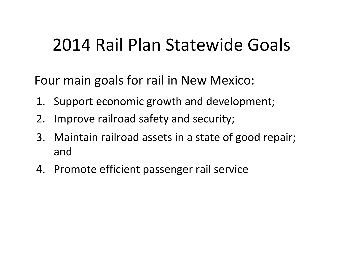## 2014 Rail Plan Statewide Goals

Four main goals for rail in New Mexico:

- 1. Support economic growth and development;
- 2. Improve railroad safety and security;
- 3. Maintain railroad assets in <sup>a</sup> state of good repair; and
- 4. Promote efficient passenger rail service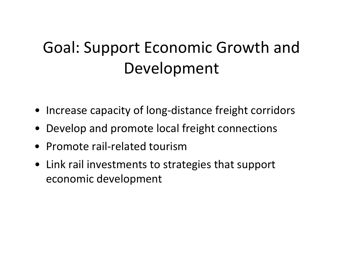## Goal: Support Economic Growth and Development

- Increase capacity of long‐distance freight corridors
- Develop and promote local freight connections
- Promote rail‐related tourism
- Link rail investments to strategies that support economic development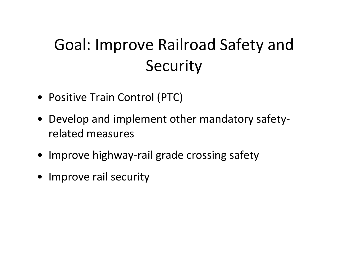#### Goal: Improve Railroad Safety and **Security**

- Positive Train Control (PTC)
- Develop and implement other mandatory safety‐ related measures
- Improve highway‐rail grade crossing safety
- Improve rail security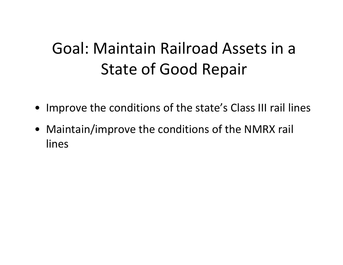#### Goal: Maintain Railroad Assets in <sup>a</sup> State of Good Repair

- Improve the conditions of the state's Class III rail lines
- Maintain/improve the conditions of the NMRX rail lines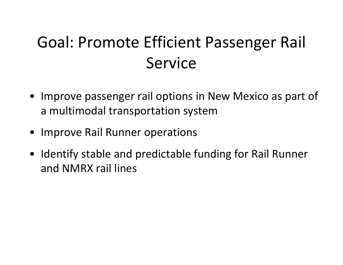#### Goal: Promote Efficient Passenger Rail Service

- Improve passenger rail options in New Mexico as part of a multimodal transportation system
- Improve Rail Runner operations
- Identify stable and predictable funding for Rail Runner and NMRX rail lines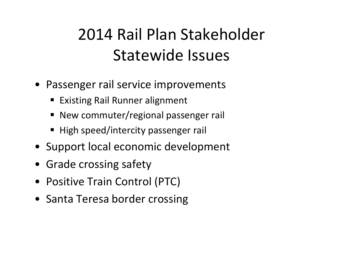## 2014 Rail Plan Stakeholder Statewide Issues

- Passenger rail service improvements
	- **Existing Rail Runner alignment**
	- **New commuter/regional passenger rail**
	- High speed/intercity passenger rail
- Support local economic development
- Grade crossing safety
- Positive Train Control (PTC)
- Santa Teresa border crossing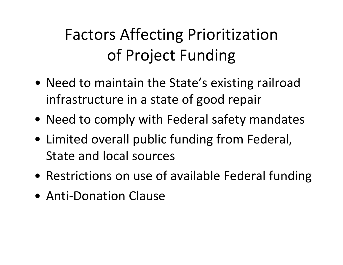# Factors Affecting Prioritization of Project Funding

- Need to maintain the State's existing railroad infrastructure in <sup>a</sup> state of good repair
- Need to comply with Federal safety mandates
- Limited overall public funding from Federal, State and local sources
- Restrictions on use of available Federal funding
- Anti-Donation Clause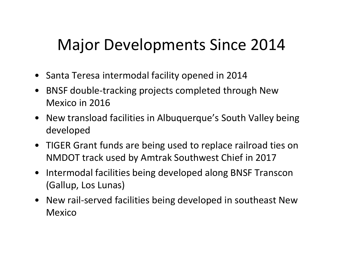#### Major Developments Since 2014

- Santa Teresa intermodal facility opened in 2014
- • BNSF double‐tracking projects completed through New Mexico in 2016
- New transload facilities in Albuquerque's South Valley being developed
- TIGER Grant funds are being used to replace railroad ties on NMDOT track used by Amtrak Southwest Chief in 2017
- $\bullet$  Intermodal facilities being developed along BNSF Transcon (Gallup, Los Lunas)
- New rail‐served facilities being developed in southeast New Mexico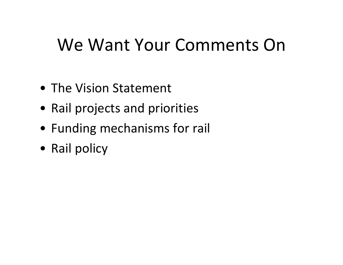## We Want Your Comments On

- The Vision Statement
- Rail projects and priorities
- Funding mechanisms for rail
- Rail policy